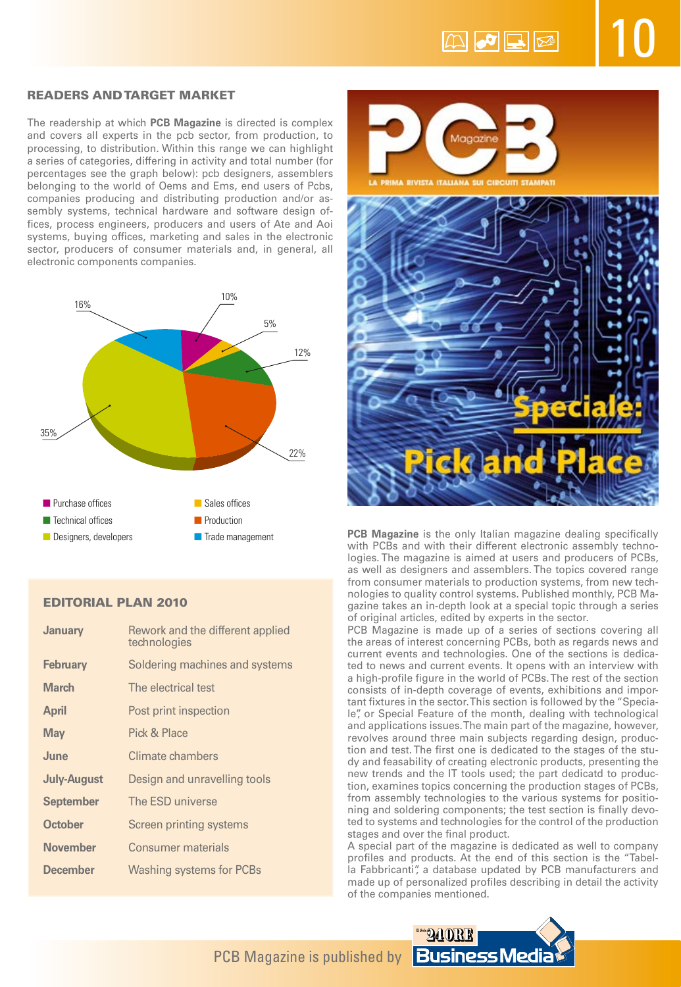10

# Readers and target market

The readership at which **PCB Magazine** is directed is complex and covers all experts in the pcb sector, from production, to processing, to distribution. Within this range we can highlight a series of categories, differing in activity and total number (for percentages see the graph below): pcb designers, assemblers belonging to the world of Oems and Ems, end users of Pcbs, companies producing and distributing production and/or assembly systems, technical hardware and software design offices, process engineers, producers and users of Ate and Aoi systems, buying offices, marketing and sales in the electronic sector, producers of consumer materials and, in general, all electronic components companies.



## Editorial plan 2010

| <b>January</b>     | Rework and the different applied<br>technologies |
|--------------------|--------------------------------------------------|
| <b>February</b>    | Soldering machines and systems                   |
| <b>March</b>       | The electrical test                              |
| <b>April</b>       | Post print inspection                            |
| <b>May</b>         | Pick & Place                                     |
| June               | Climate chambers                                 |
| <b>July-August</b> | Design and unravelling tools                     |
| <b>September</b>   | The ESD universe                                 |
| <b>October</b>     | Screen printing systems                          |
| <b>November</b>    | Consumer materials                               |
| <b>December</b>    | <b>Washing systems for PCBs</b>                  |



**PCB Magazine** is the only Italian magazine dealing specifically with PCBs and with their different electronic assembly technologies. The magazine is aimed at users and producers of PCBs, as well as designers and assemblers. The topics covered range from consumer materials to production systems, from new technologies to quality control systems. Published monthly, PCB Magazine takes an in-depth look at a special topic through a series of original articles, edited by experts in the sector.

PCB Magazine is made up of a series of sections covering all the areas of interest concerning PCBs, both as regards news and current events and technologies. One of the sections is dedicated to news and current events. It opens with an interview with a high-profile figure in the world of PCBs. The rest of the section consists of in-depth coverage of events, exhibitions and important fixtures in the sector. This section is followed by the "Speciale", or Special Feature of the month, dealing with technological and applications issues. The main part of the magazine, however, revolves around three main subjects regarding design, production and test. The first one is dedicated to the stages of the study and feasability of creating electronic products, presenting the new trends and the IT tools used; the part dedicatd to production, examines topics concerning the production stages of PCBs, from assembly technologies to the various systems for positioning and soldering components; the test section is finally devoted to systems and technologies for the control of the production stages and over the final product.

A special part of the magazine is dedicated as well to company profiles and products. At the end of this section is the "Tabella Fabbricanti", a database updated by PCB manufacturers and made up of personalized profiles describing in detail the activity of the companies mentioned.